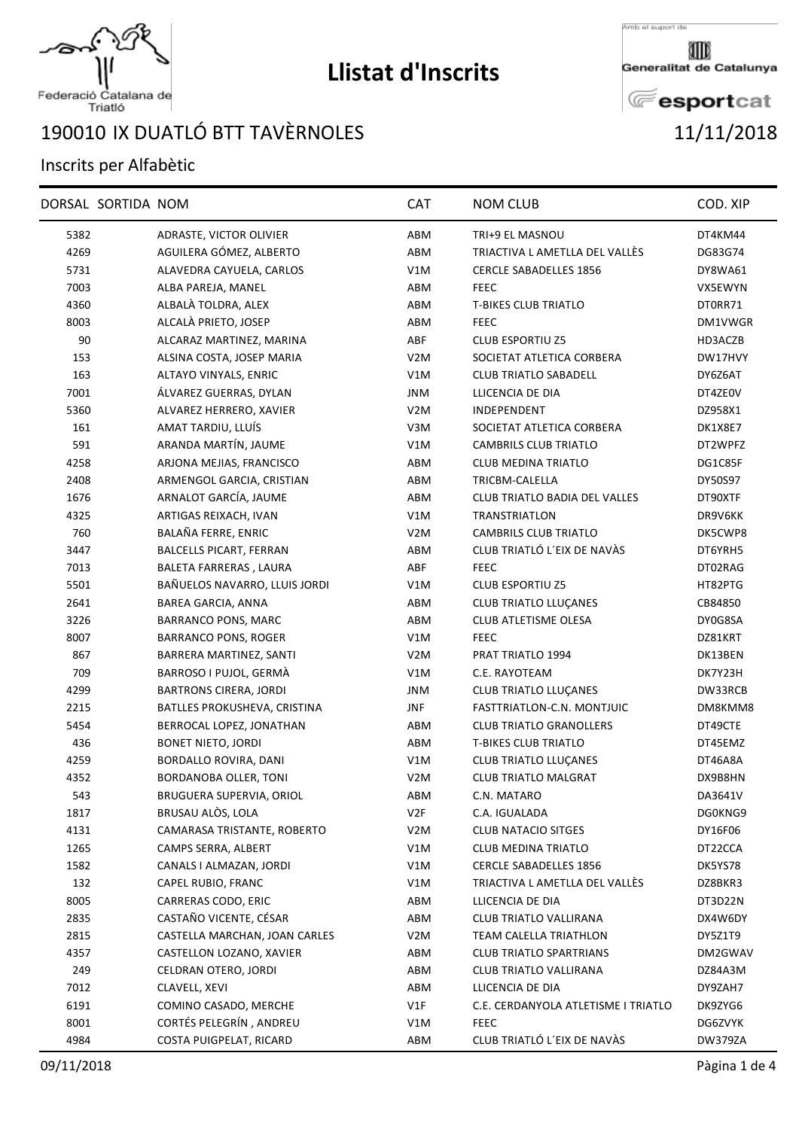

## **Llistat d'Inscrits**

Amb el suport de

Generalitat de Catalunya

**E**esportcat

## Federació Catalana de<br>Triatló

## 190010 IX DUATLÓ BTT TAVÈRNOLES 11/11/2018

## Inscrits per Alfabètic

|      | DORSAL SORTIDA NOM |                                | CAT              | <b>NOM CLUB</b>                     | COD. XIP |
|------|--------------------|--------------------------------|------------------|-------------------------------------|----------|
| 5382 |                    | ADRASTE, VICTOR OLIVIER        | ABM              | TRI+9 EL MASNOU                     | DT4KM44  |
| 4269 |                    | AGUILERA GÓMEZ, ALBERTO        | ABM              | TRIACTIVA L AMETLLA DEL VALLÈS      | DG83G74  |
| 5731 |                    | ALAVEDRA CAYUELA, CARLOS       | V1M              | <b>CERCLE SABADELLES 1856</b>       | DY8WA61  |
| 7003 |                    | ALBA PAREJA, MANEL             | ABM              | <b>FEEC</b>                         | VX5EWYN  |
| 4360 |                    | ALBALÀ TOLDRA, ALEX            | ABM              | <b>T-BIKES CLUB TRIATLO</b>         | DT0RR71  |
| 8003 |                    | ALCALÀ PRIETO, JOSEP           | ABM              | <b>FEEC</b>                         | DM1VWGR  |
| 90   |                    | ALCARAZ MARTINEZ, MARINA       | ABF              | <b>CLUB ESPORTIU Z5</b>             | HD3ACZB  |
| 153  |                    | ALSINA COSTA, JOSEP MARIA      | V <sub>2</sub> M | SOCIETAT ATLETICA CORBERA           | DW17HVY  |
| 163  |                    | ALTAYO VINYALS, ENRIC          | V1M              | <b>CLUB TRIATLO SABADELL</b>        | DY6Z6AT  |
| 7001 |                    | ÁLVAREZ GUERRAS, DYLAN         | JNM              | LLICENCIA DE DIA                    | DT4ZE0V  |
| 5360 |                    | ALVAREZ HERRERO, XAVIER        | V <sub>2</sub> M | INDEPENDENT                         | DZ958X1  |
| 161  |                    | AMAT TARDIU, LLUÍS             | V3M              | SOCIETAT ATLETICA CORBERA           | DK1X8E7  |
| 591  |                    | ARANDA MARTÍN, JAUME           | V1M              | CAMBRILS CLUB TRIATLO               | DT2WPFZ  |
| 4258 |                    | ARJONA MEJIAS, FRANCISCO       | ABM              | <b>CLUB MEDINA TRIATLO</b>          | DG1C85F  |
| 2408 |                    | ARMENGOL GARCIA, CRISTIAN      | ABM              | TRICBM-CALELLA                      | DY50S97  |
| 1676 |                    | ARNALOT GARCÍA, JAUME          | ABM              | CLUB TRIATLO BADIA DEL VALLES       | DT90XTF  |
| 4325 |                    | ARTIGAS REIXACH, IVAN          | V1M              | TRANSTRIATLON                       | DR9V6KK  |
| 760  |                    | BALAÑA FERRE, ENRIC            | V <sub>2</sub> M | <b>CAMBRILS CLUB TRIATLO</b>        | DK5CWP8  |
| 3447 |                    | <b>BALCELLS PICART, FERRAN</b> | ABM              | CLUB TRIATLÓ L'EIX DE NAVÀS         | DT6YRH5  |
| 7013 |                    | BALETA FARRERAS, LAURA         | ABF              | <b>FEEC</b>                         | DT02RAG  |
| 5501 |                    | BAÑUELOS NAVARRO, LLUIS JORDI  | V1M              | <b>CLUB ESPORTIU Z5</b>             | HT82PTG  |
| 2641 |                    | BAREA GARCIA, ANNA             | ABM              | <b>CLUB TRIATLO LLUÇANES</b>        | CB84850  |
| 3226 |                    | <b>BARRANCO PONS, MARC</b>     | ABM              | CLUB ATLETISME OLESA                | DY0G8SA  |
| 8007 |                    | <b>BARRANCO PONS, ROGER</b>    | V1M              | <b>FEEC</b>                         | DZ81KRT  |
| 867  |                    | BARRERA MARTINEZ, SANTI        | V <sub>2</sub> M | PRAT TRIATLO 1994                   | DK13BEN  |
| 709  |                    | BARROSO I PUJOL, GERMÀ         | V1M              | C.E. RAYOTEAM                       | DK7Y23H  |
| 4299 |                    | <b>BARTRONS CIRERA, JORDI</b>  | JNM              | <b>CLUB TRIATLO LLUÇANES</b>        | DW33RCB  |
| 2215 |                    | BATLLES PROKUSHEVA, CRISTINA   | <b>JNF</b>       | FASTTRIATLON-C.N. MONTJUIC          | DM8KMM8  |
| 5454 |                    | BERROCAL LOPEZ, JONATHAN       | ABM              | <b>CLUB TRIATLO GRANOLLERS</b>      | DT49CTE  |
| 436  |                    | <b>BONET NIETO, JORDI</b>      | ABM              | <b>T-BIKES CLUB TRIATLO</b>         | DT45EMZ  |
| 4259 |                    | BORDALLO ROVIRA, DANI          | V1M              | <b>CLUB TRIATLO LLUCANES</b>        | DT46A8A  |
| 4352 |                    | <b>BORDANOBA OLLER, TONI</b>   | V <sub>2</sub> M | <b>CLUB TRIATLO MALGRAT</b>         | DX9B8HN  |
| 543  |                    | BRUGUERA SUPERVIA, ORIOL       | ABM              | C.N. MATARO                         | DA3641V  |
| 1817 |                    | BRUSAU ALÒS, LOLA              | V <sub>2F</sub>  | C.A. IGUALADA                       | DG0KNG9  |
| 4131 |                    | CAMARASA TRISTANTE, ROBERTO    | V <sub>2</sub> M | <b>CLUB NATACIO SITGES</b>          | DY16F06  |
| 1265 |                    | CAMPS SERRA, ALBERT            | V1M              | CLUB MEDINA TRIATLO                 | DT22CCA  |
| 1582 |                    | CANALS I ALMAZAN, JORDI        | V1M              | <b>CERCLE SABADELLES 1856</b>       | DK5YS78  |
| 132  |                    | CAPEL RUBIO, FRANC             | V1M              | TRIACTIVA L AMETLLA DEL VALLÉS      | DZ8BKR3  |
| 8005 |                    | CARRERAS CODO, ERIC            | ABM              | LLICENCIA DE DIA                    | DT3D22N  |
| 2835 |                    | CASTAÑO VICENTE, CÉSAR         | ABM              | CLUB TRIATLO VALLIRANA              | DX4W6DY  |
| 2815 |                    | CASTELLA MARCHAN, JOAN CARLES  | V <sub>2</sub> M | TEAM CALELLA TRIATHLON              | DY5Z1T9  |
| 4357 |                    | CASTELLON LOZANO, XAVIER       | ABM              | <b>CLUB TRIATLO SPARTRIANS</b>      | DM2GWAV  |
| 249  |                    | CELDRAN OTERO, JORDI           | ABM              | CLUB TRIATLO VALLIRANA              | DZ84A3M  |
| 7012 |                    | CLAVELL, XEVI                  | ABM              | LLICENCIA DE DIA                    | DY9ZAH7  |
| 6191 |                    | COMINO CASADO, MERCHE          | V1F              | C.E. CERDANYOLA ATLETISME I TRIATLO | DK9ZYG6  |
| 8001 |                    | CORTÉS PELEGRÍN, ANDREU        | V1M              | <b>FEEC</b>                         | DG6ZVYK  |
| 4984 |                    | COSTA PUIGPELAT, RICARD        | ABM              | CLUB TRIATLÓ L'EIX DE NAVÀS         | DW379ZA  |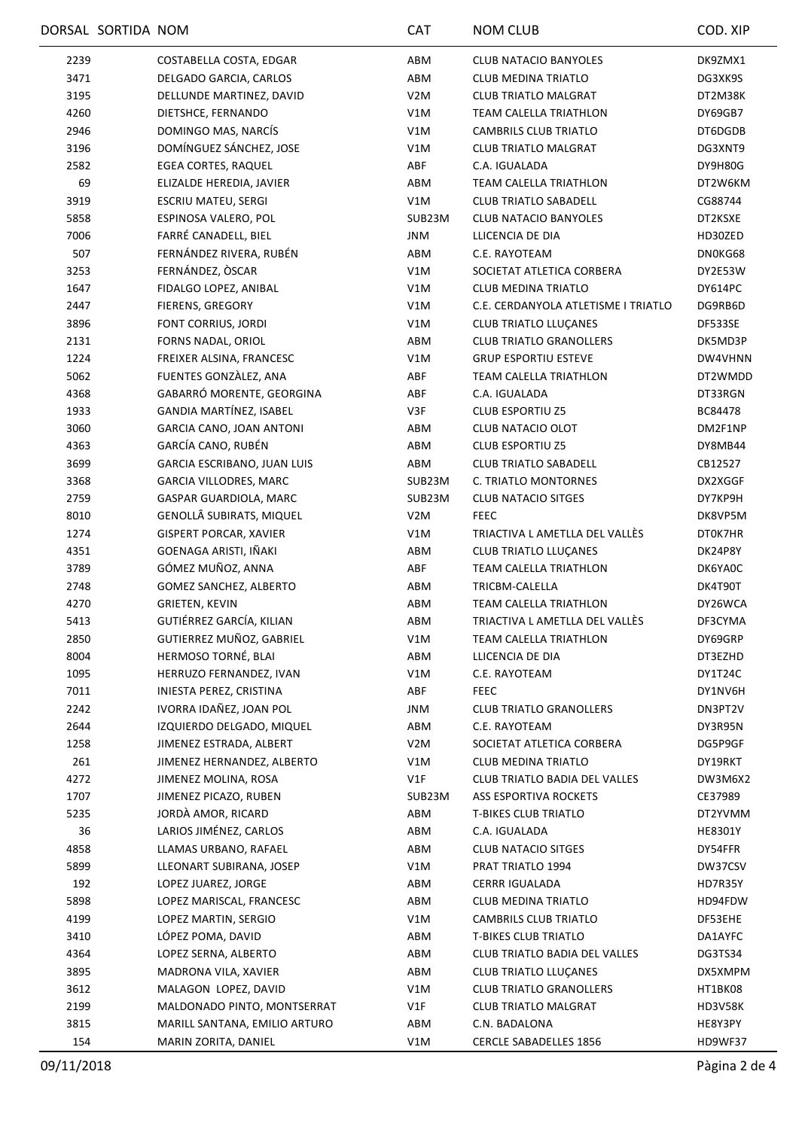|      | DORSAL SORTIDA NOM |                               | <b>CAT</b>       | <b>NOM CLUB</b>                      | COD. XIP       |
|------|--------------------|-------------------------------|------------------|--------------------------------------|----------------|
| 2239 |                    | COSTABELLA COSTA, EDGAR       | ABM              | <b>CLUB NATACIO BANYOLES</b>         | DK9ZMX1        |
| 3471 |                    | DELGADO GARCIA, CARLOS        | ABM              | <b>CLUB MEDINA TRIATLO</b>           | DG3XK9S        |
| 3195 |                    | DELLUNDE MARTINEZ, DAVID      | V <sub>2</sub> M | <b>CLUB TRIATLO MALGRAT</b>          | DT2M38K        |
| 4260 |                    | DIETSHCE, FERNANDO            | V1M              | TEAM CALELLA TRIATHLON               | DY69GB7        |
| 2946 |                    | DOMINGO MAS, NARCÍS           | V1M              | CAMBRILS CLUB TRIATLO                | DT6DGDB        |
| 3196 |                    | DOMÍNGUEZ SÁNCHEZ, JOSE       | V1M              | <b>CLUB TRIATLO MALGRAT</b>          | DG3XNT9        |
| 2582 |                    | <b>EGEA CORTES, RAQUEL</b>    | ABF              | C.A. IGUALADA                        | DY9H80G        |
| 69   |                    | ELIZALDE HEREDIA, JAVIER      | ABM              | <b>TEAM CALELLA TRIATHLON</b>        | DT2W6KM        |
| 3919 |                    | <b>ESCRIU MATEU, SERGI</b>    | V1M              | <b>CLUB TRIATLO SABADELL</b>         | CG88744        |
| 5858 |                    | ESPINOSA VALERO, POL          | SUB23M           | <b>CLUB NATACIO BANYOLES</b>         | DT2KSXE        |
| 7006 |                    | FARRÉ CANADELL, BIEL          | JNM              | LLICENCIA DE DIA                     | HD30ZED        |
| 507  |                    | FERNÁNDEZ RIVERA, RUBÉN       | ABM              | C.E. RAYOTEAM                        | DN0KG68        |
| 3253 |                    | FERNÁNDEZ, ÒSCAR              | V1M              | SOCIETAT ATLETICA CORBERA            | DY2E53W        |
| 1647 |                    | FIDALGO LOPEZ, ANIBAL         | V1M              | <b>CLUB MEDINA TRIATLO</b>           | DY614PC        |
| 2447 |                    | FIERENS, GREGORY              | V1M              | C.E. CERDANYOLA ATLETISME I TRIATLO  | DG9RB6D        |
| 3896 |                    | FONT CORRIUS, JORDI           | V1M              | <b>CLUB TRIATLO LLUÇANES</b>         | DF533SE        |
| 2131 |                    | FORNS NADAL, ORIOL            | ABM              | <b>CLUB TRIATLO GRANOLLERS</b>       | DK5MD3P        |
| 1224 |                    | FREIXER ALSINA, FRANCESC      | V1M              | <b>GRUP ESPORTIU ESTEVE</b>          | DW4VHNN        |
| 5062 |                    | FUENTES GONZALEZ, ANA         | ABF              | <b>TEAM CALELLA TRIATHLON</b>        | DT2WMDD        |
| 4368 |                    | GABARRÓ MORENTE, GEORGINA     | ABF              | C.A. IGUALADA                        | DT33RGN        |
| 1933 |                    | GANDIA MARTÍNEZ, ISABEL       | V3F              | <b>CLUB ESPORTIU Z5</b>              | BC84478        |
| 3060 |                    | GARCIA CANO, JOAN ANTONI      | ABM              | CLUB NATACIO OLOT                    | DM2F1NP        |
| 4363 |                    | GARCÍA CANO, RUBÉN            | ABM              | <b>CLUB ESPORTIU Z5</b>              | DY8MB44        |
| 3699 |                    | GARCIA ESCRIBANO, JUAN LUIS   | ABM              | <b>CLUB TRIATLO SABADELL</b>         | CB12527        |
| 3368 |                    | GARCIA VILLODRES, MARC        | SUB23M           | C. TRIATLO MONTORNES                 | DX2XGGF        |
| 2759 |                    | GASPAR GUARDIOLA, MARC        | SUB23M           | <b>CLUB NATACIO SITGES</b>           | DY7KP9H        |
| 8010 |                    | GENOLLÂ SUBIRATS, MIQUEL      | V <sub>2</sub> M | <b>FEEC</b>                          | DK8VP5M        |
| 1274 |                    | <b>GISPERT PORCAR, XAVIER</b> | V1M              | TRIACTIVA L AMETLLA DEL VALLÈS       | DT0K7HR        |
| 4351 |                    | GOENAGA ARISTI, IÑAKI         | ABM              | <b>CLUB TRIATLO LLUÇANES</b>         | DK24P8Y        |
| 3789 |                    | GÓMEZ MUÑOZ, ANNA             | ABF              | <b>TEAM CALELLA TRIATHLON</b>        | DK6YA0C        |
| 2748 |                    | GOMEZ SANCHEZ, ALBERTO        | ABM              | TRICBM-CALELLA                       | DK4T90T        |
| 4270 |                    | GRIETEN, KEVIN                | ABM              | TEAM CALELLA TRIATHLON               | DY26WCA        |
| 5413 |                    | GUTIÉRREZ GARCÍA, KILIAN      | ABM              | TRIACTIVA L AMETLLA DEL VALLÉS       | DF3CYMA        |
| 2850 |                    | GUTIERREZ MUÑOZ, GABRIEL      | V1M              | TEAM CALELLA TRIATHLON               | DY69GRP        |
| 8004 |                    | HERMOSO TORNÉ, BLAI           | ABM              | LLICENCIA DE DIA                     | DT3EZHD        |
| 1095 |                    | HERRUZO FERNANDEZ, IVAN       | V1M              | C.E. RAYOTEAM                        | DY1T24C        |
| 7011 |                    | INIESTA PEREZ, CRISTINA       | ABF              | <b>FEEC</b>                          | DY1NV6H        |
| 2242 |                    | IVORRA IDAÑEZ, JOAN POL       | JNM              | <b>CLUB TRIATLO GRANOLLERS</b>       | DN3PT2V        |
| 2644 |                    | IZQUIERDO DELGADO, MIQUEL     | ABM              | C.E. RAYOTEAM                        | DY3R95N        |
| 1258 |                    | JIMENEZ ESTRADA, ALBERT       | V <sub>2</sub> M | SOCIETAT ATLETICA CORBERA            | DG5P9GF        |
| 261  |                    | JIMENEZ HERNANDEZ, ALBERTO    | V1M              | <b>CLUB MEDINA TRIATLO</b>           | DY19RKT        |
| 4272 |                    | JIMENEZ MOLINA, ROSA          | V1F              | CLUB TRIATLO BADIA DEL VALLES        | DW3M6X2        |
| 1707 |                    | JIMENEZ PICAZO, RUBEN         | SUB23M           | ASS ESPORTIVA ROCKETS                | CE37989        |
|      |                    | JORDÀ AMOR, RICARD            | ABM              | <b>T-BIKES CLUB TRIATLO</b>          |                |
| 5235 |                    | LARIOS JIMÉNEZ, CARLOS        | ABM              | C.A. IGUALADA                        | DT2YVMM        |
| 36   |                    |                               |                  |                                      | <b>HE8301Y</b> |
| 4858 |                    | LLAMAS URBANO, RAFAEL         | ABM              | <b>CLUB NATACIO SITGES</b>           | DY54FFR        |
| 5899 |                    | LLEONART SUBIRANA, JOSEP      | V1M              | PRAT TRIATLO 1994                    | DW37CSV        |
| 192  |                    | LOPEZ JUAREZ, JORGE           | ABM              | <b>CERRR IGUALADA</b>                | HD7R35Y        |
| 5898 |                    | LOPEZ MARISCAL, FRANCESC      | ABM              | CLUB MEDINA TRIATLO                  | HD94FDW        |
| 4199 |                    | LOPEZ MARTIN, SERGIO          | V1M              | CAMBRILS CLUB TRIATLO                | DF53EHE        |
| 3410 |                    | LÓPEZ POMA, DAVID             | ABM              | <b>T-BIKES CLUB TRIATLO</b>          | DA1AYFC        |
| 4364 |                    | LOPEZ SERNA, ALBERTO          | ABM              | <b>CLUB TRIATLO BADIA DEL VALLES</b> | DG3TS34        |
| 3895 |                    | MADRONA VILA, XAVIER          | ABM              | CLUB TRIATLO LLUÇANES                | DX5XMPM        |
| 3612 |                    | MALAGON LOPEZ, DAVID          | V1M              | <b>CLUB TRIATLO GRANOLLERS</b>       | HT1BK08        |
| 2199 |                    | MALDONADO PINTO, MONTSERRAT   | V1F              | <b>CLUB TRIATLO MALGRAT</b>          | HD3V58K        |
| 3815 |                    | MARILL SANTANA, EMILIO ARTURO | ABM              | C.N. BADALONA                        | HE8Y3PY        |
| 154  |                    | MARIN ZORITA, DANIEL          | V1M              | <b>CERCLE SABADELLES 1856</b>        | HD9WF37        |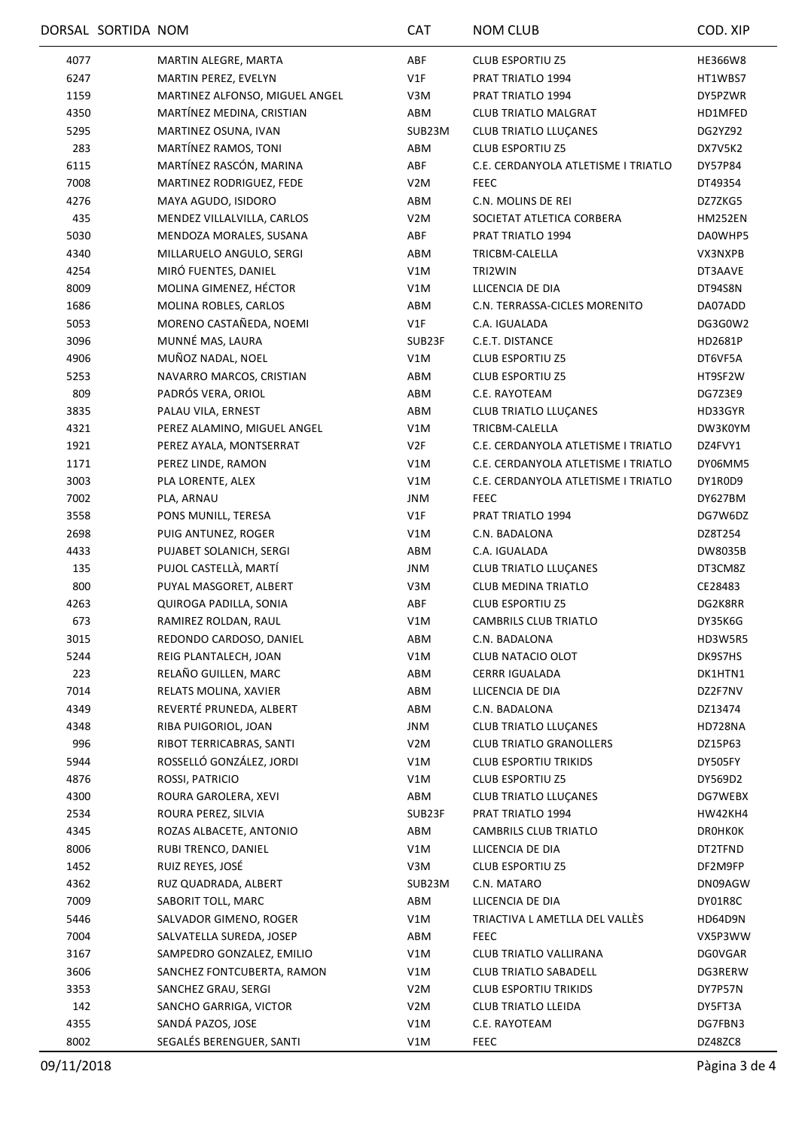|      | DORSAL SORTIDA NOM |                                | <b>CAT</b>       | <b>NOM CLUB</b>                     | COD. XIP           |
|------|--------------------|--------------------------------|------------------|-------------------------------------|--------------------|
| 4077 |                    | MARTIN ALEGRE, MARTA           | ABF              | <b>CLUB ESPORTIU Z5</b>             | <b>HE366W8</b>     |
| 6247 |                    | MARTIN PEREZ, EVELYN           | V1F              | PRAT TRIATLO 1994                   | HT1WBS7            |
| 1159 |                    | MARTINEZ ALFONSO, MIGUEL ANGEL | V3M              | PRAT TRIATLO 1994                   | DY5PZWR            |
| 4350 |                    | MARTÍNEZ MEDINA, CRISTIAN      | ABM              | <b>CLUB TRIATLO MALGRAT</b>         | HD1MFED            |
| 5295 |                    | MARTINEZ OSUNA, IVAN           | SUB23M           | <b>CLUB TRIATLO LLUÇANES</b>        | DG2YZ92            |
| 283  |                    | MARTÍNEZ RAMOS, TONI           | ABM              | <b>CLUB ESPORTIU Z5</b>             | DX7V5K2            |
| 6115 |                    | MARTÍNEZ RASCÓN, MARINA        | ABF              | C.E. CERDANYOLA ATLETISME I TRIATLO | DY57P84            |
| 7008 |                    | MARTINEZ RODRIGUEZ, FEDE       | V2M              | FEEC                                | DT49354            |
| 4276 |                    | MAYA AGUDO, ISIDORO            | ABM              | C.N. MOLINS DE REI                  | DZ7ZKG5            |
| 435  |                    | MENDEZ VILLALVILLA, CARLOS     | V <sub>2</sub> M | SOCIETAT ATLETICA CORBERA           | HM252EN            |
| 5030 |                    | MENDOZA MORALES, SUSANA        | ABF              | PRAT TRIATLO 1994                   | DA0WHP5            |
| 4340 |                    | MILLARUELO ANGULO, SERGI       | ABM              | TRICBM-CALELLA                      | VX3NXPB            |
| 4254 |                    | MIRÓ FUENTES, DANIEL           | V1M              | TRI2WIN                             | DT3AAVE            |
| 8009 |                    | MOLINA GIMENEZ, HÉCTOR         | V1M              | LLICENCIA DE DIA                    | DT94S8N            |
| 1686 |                    | MOLINA ROBLES, CARLOS          | ABM              | C.N. TERRASSA-CICLES MORENITO       | DA07ADD            |
| 5053 |                    | MORENO CASTAÑEDA, NOEMI        | V1F              | C.A. IGUALADA                       | DG3G0W2            |
| 3096 |                    | MUNNÉ MAS, LAURA               | SUB23F           | C.E.T. DISTANCE                     | HD2681P            |
| 4906 |                    | MUÑOZ NADAL, NOEL              | V1M              | <b>CLUB ESPORTIU Z5</b>             | DT6VF5A            |
| 5253 |                    | NAVARRO MARCOS, CRISTIAN       | ABM              | <b>CLUB ESPORTIU Z5</b>             | HT9SF2W            |
| 809  |                    | PADRÓS VERA, ORIOL             | ABM              | C.E. RAYOTEAM                       | DG7Z3E9            |
| 3835 |                    | PALAU VILA, ERNEST             | ABM              | <b>CLUB TRIATLO LLUÇANES</b>        | HD33GYR            |
| 4321 |                    | PEREZ ALAMINO, MIGUEL ANGEL    | V1M              | TRICBM-CALELLA                      | DW3K0YM            |
| 1921 |                    | PEREZ AYALA, MONTSERRAT        | V2F              | C.E. CERDANYOLA ATLETISME I TRIATLO | DZ4FVY1            |
| 1171 |                    | PEREZ LINDE, RAMON             | V1M              | C.E. CERDANYOLA ATLETISME I TRIATLO | DY06MM5            |
| 3003 |                    | PLA LORENTE, ALEX              | V1M              | C.E. CERDANYOLA ATLETISME I TRIATLO | DY1R0D9            |
| 7002 |                    | PLA, ARNAU                     | JNM              | <b>FEEC</b>                         | DY627BM            |
| 3558 |                    | PONS MUNILL, TERESA            | V1F              | PRAT TRIATLO 1994                   | DG7W6DZ            |
| 2698 |                    | PUIG ANTUNEZ, ROGER            | V1M              | C.N. BADALONA                       | DZ8T254            |
| 4433 |                    | PUJABET SOLANICH, SERGI        | ABM              | C.A. IGUALADA                       | DW8035B            |
| 135  |                    | PUJOL CASTELLÀ, MARTÍ          | JNM              | <b>CLUB TRIATLO LLUÇANES</b>        | DT3CM8Z            |
| 800  |                    | PUYAL MASGORET, ALBERT         | V3M              | <b>CLUB MEDINA TRIATLO</b>          | CE28483            |
| 4263 |                    | QUIROGA PADILLA, SONIA         | ABF              | <b>CLUB ESPORTIU Z5</b>             | DG2K8RR            |
| 673  |                    | RAMIREZ ROLDAN, RAUL           | V1M              | CAMBRILS CLUB TRIATLO               | DY35K6G            |
| 3015 |                    | REDONDO CARDOSO, DANIEL        | ABM              | C.N. BADALONA                       | <b>HD3W5R5</b>     |
| 5244 |                    | REIG PLANTALECH, JOAN          | V1M              | CLUB NATACIO OLOT                   | DK9S7HS            |
| 223  |                    | RELAÑO GUILLEN, MARC           | ABM              | <b>CERRR IGUALADA</b>               | DK1HTN1            |
| 7014 |                    | RELATS MOLINA, XAVIER          | ABM              | LLICENCIA DE DIA                    | DZ2F7NV            |
| 4349 |                    | REVERTÉ PRUNEDA, ALBERT        | ABM              | C.N. BADALONA                       | DZ13474            |
| 4348 |                    | RIBA PUIGORIOL, JOAN           | JNM              | <b>CLUB TRIATLO LLUÇANES</b>        | HD728NA            |
| 996  |                    | RIBOT TERRICABRAS, SANTI       | V <sub>2</sub> M | <b>CLUB TRIATLO GRANOLLERS</b>      | DZ15P63            |
| 5944 |                    | ROSSELLÓ GONZÁLEZ, JORDI       | V1M              | <b>CLUB ESPORTIU TRIKIDS</b>        | DY505FY            |
| 4876 |                    | ROSSI, PATRICIO                | V1M              | <b>CLUB ESPORTIU Z5</b>             | DY569D2            |
| 4300 |                    | ROURA GAROLERA, XEVI           | ABM              | <b>CLUB TRIATLO LLUÇANES</b>        | DG7WEBX            |
| 2534 |                    | ROURA PEREZ, SILVIA            | SUB23F           | PRAT TRIATLO 1994                   | HW42KH4            |
| 4345 |                    | ROZAS ALBACETE, ANTONIO        | ABM              | CAMBRILS CLUB TRIATLO               | DROHKOK            |
| 8006 |                    | RUBI TRENCO, DANIEL            | V1M              | LLICENCIA DE DIA                    | DT2TFND            |
| 1452 |                    | RUIZ REYES, JOSÉ               | V3M              | <b>CLUB ESPORTIU Z5</b>             | DF2M9FP            |
| 4362 |                    | RUZ QUADRADA, ALBERT           | SUB23M           | C.N. MATARO                         |                    |
| 7009 |                    | SABORIT TOLL, MARC             | ABM              | LLICENCIA DE DIA                    | DN09AGW<br>DY01R8C |
|      |                    | SALVADOR GIMENO, ROGER         |                  |                                     |                    |
| 5446 |                    |                                | V1M              | TRIACTIVA L AMETLLA DEL VALLÉS      | HD64D9N            |
| 7004 |                    | SALVATELLA SUREDA, JOSEP       | ABM              | <b>FEEC</b>                         | VX5P3WW            |
| 3167 |                    | SAMPEDRO GONZALEZ, EMILIO      | V1M              | CLUB TRIATLO VALLIRANA              | <b>DG0VGAR</b>     |
| 3606 |                    | SANCHEZ FONTCUBERTA, RAMON     | V1M              | <b>CLUB TRIATLO SABADELL</b>        | DG3RERW            |
| 3353 |                    | SANCHEZ GRAU, SERGI            | V2M              | <b>CLUB ESPORTIU TRIKIDS</b>        | DY7P57N            |
| 142  |                    | SANCHO GARRIGA, VICTOR         | V2M              | <b>CLUB TRIATLO LLEIDA</b>          | DY5FT3A            |
| 4355 |                    | SANDÁ PAZOS, JOSE              | V1M              | C.E. RAYOTEAM                       | DG7FBN3            |
| 8002 |                    | SEGALÉS BERENGUER, SANTI       | V1M              | FEEC                                | DZ48ZC8            |